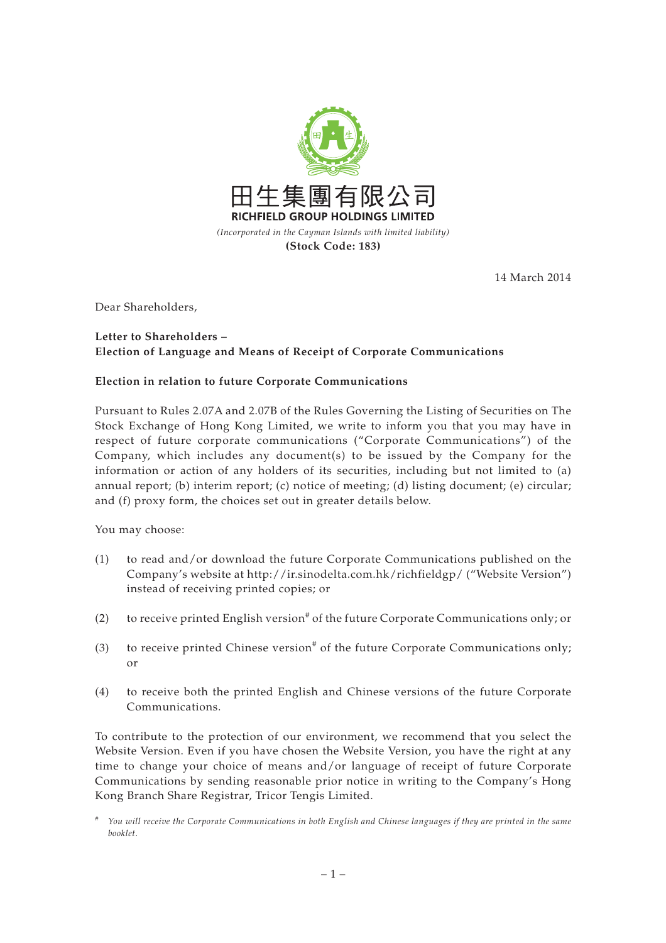

14 March 2014

Dear Shareholders,

## **Letter to Shareholders – Election of Language and Means of Receipt of Corporate Communications**

## **Election in relation to future Corporate Communications**

Pursuant to Rules 2.07A and 2.07B of the Rules Governing the Listing of Securities on The Stock Exchange of Hong Kong Limited, we write to inform you that you may have in respect of future corporate communications ("Corporate Communications") of the Company, which includes any document(s) to be issued by the Company for the information or action of any holders of its securities, including but not limited to (a) annual report; (b) interim report; (c) notice of meeting; (d) listing document; (e) circular; and (f) proxy form, the choices set out in greater details below.

You may choose:

- (1) to read and/or download the future Corporate Communications published on the Company's website at http://ir.sinodelta.com.hk/richfieldgp/ ("Website Version") instead of receiving printed copies; or
- (2) to receive printed English version<sup>#</sup> of the future Corporate Communications only; or
- (3) to receive printed Chinese version<sup>#</sup> of the future Corporate Communications only; or
- (4) to receive both the printed English and Chinese versions of the future Corporate Communications.

To contribute to the protection of our environment, we recommend that you select the Website Version. Even if you have chosen the Website Version, you have the right at any time to change your choice of means and/or language of receipt of future Corporate Communications by sending reasonable prior notice in writing to the Company's Hong Kong Branch Share Registrar, Tricor Tengis Limited.

<sup>#</sup> *You will receive the Corporate Communications in both English and Chinese languages if they are printed in the same booklet.*